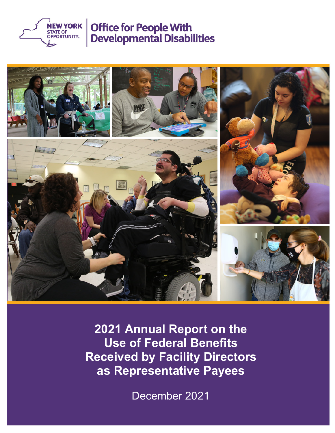



**2021 Annual Report on the Use of Federal Benefits Received by Facility Directors as Representative Payees**

December 2021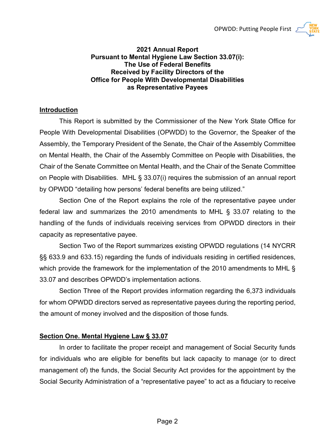

#### **2021 Annual Report Pursuant to Mental Hygiene Law Section 33.07(i): The Use of Federal Benefits Received by Facility Directors of the Office for People With Developmental Disabilities as Representative Payees**

## **Introduction**

This Report is submitted by the Commissioner of the New York State Office for People With Developmental Disabilities (OPWDD) to the Governor, the Speaker of the Assembly, the Temporary President of the Senate, the Chair of the Assembly Committee on Mental Health, the Chair of the Assembly Committee on People with Disabilities, the Chair of the Senate Committee on Mental Health, and the Chair of the Senate Committee on People with Disabilities. MHL § 33.07(i) requires the submission of an annual report by OPWDD "detailing how persons' federal benefits are being utilized."

Section One of the Report explains the role of the representative payee under federal law and summarizes the 2010 amendments to MHL § 33.07 relating to the handling of the funds of individuals receiving services from OPWDD directors in their capacity as representative payee.

Section Two of the Report summarizes existing OPWDD regulations (14 NYCRR §§ 633.9 and 633.15) regarding the funds of individuals residing in certified residences, which provide the framework for the implementation of the 2010 amendments to MHL § 33.07 and describes OPWDD's implementation actions.

Section Three of the Report provides information regarding the 6,373 individuals for whom OPWDD directors served as representative payees during the reporting period, the amount of money involved and the disposition of those funds.

### **Section One. Mental Hygiene Law § 33.07**

In order to facilitate the proper receipt and management of Social Security funds for individuals who are eligible for benefits but lack capacity to manage (or to direct management of) the funds, the Social Security Act provides for the appointment by the Social Security Administration of a "representative payee" to act as a fiduciary to receive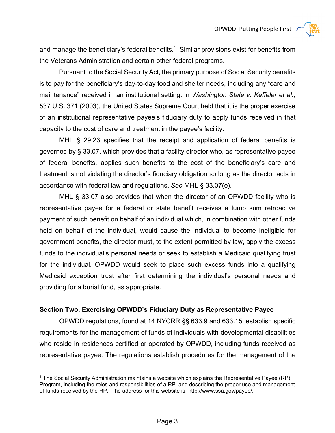

Pursuant to the Social Security Act, the primary purpose of Social Security benefits is to pay for the beneficiary's day-to-day food and shelter needs, including any "care and maintenance" received in an institutional setting. In *Washington State v. Keffeler et al.*, 537 U.S. 371 (2003), the United States Supreme Court held that it is the proper exercise of an institutional representative payee's fiduciary duty to apply funds received in that capacity to the cost of care and treatment in the payee's facility.

MHL § 29.23 specifies that the receipt and application of federal benefits is governed by § 33.07, which provides that a facility director who, as representative payee of federal benefits, applies such benefits to the cost of the beneficiary's care and treatment is not violating the director's fiduciary obligation so long as the director acts in accordance with federal law and regulations. *See* MHL § 33.07(e).

MHL § 33.07 also provides that when the director of an OPWDD facility who is representative payee for a federal or state benefit receives a lump sum retroactive payment of such benefit on behalf of an individual which, in combination with other funds held on behalf of the individual, would cause the individual to become ineligible for government benefits, the director must, to the extent permitted by law, apply the excess funds to the individual's personal needs or seek to establish a Medicaid qualifying trust for the individual. OPWDD would seek to place such excess funds into a qualifying Medicaid exception trust after first determining the individual's personal needs and providing for a burial fund, as appropriate.

### **Section Two. Exercising OPWDD's Fiduciary Duty as Representative Payee**

 $\overline{a}$ 

OPWDD regulations, found at 14 NYCRR §§ 633.9 and 633.15, establish specific requirements for the management of funds of individuals with developmental disabilities who reside in residences certified or operated by OPWDD, including funds received as representative payee. The regulations establish procedures for the management of the

<sup>1</sup> The Social Security Administration maintains a website which explains the Representative Payee (RP) Program, including the roles and responsibilities of a RP, and describing the proper use and management of funds received by the RP. The address for this website is: http://www.ssa.gov/payee/.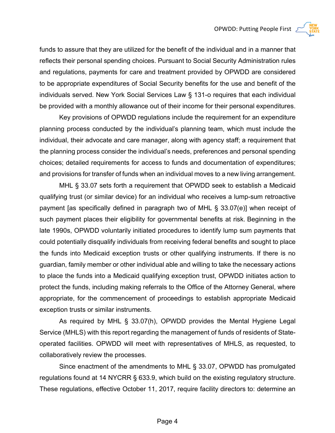funds to assure that they are utilized for the benefit of the individual and in a manner that reflects their personal spending choices. Pursuant to Social Security Administration rules and regulations, payments for care and treatment provided by OPWDD are considered to be appropriate expenditures of Social Security benefits for the use and benefit of the individuals served. New York Social Services Law § 131-o requires that each individual be provided with a monthly allowance out of their income for their personal expenditures.

Key provisions of OPWDD regulations include the requirement for an expenditure planning process conducted by the individual's planning team, which must include the individual, their advocate and care manager, along with agency staff; a requirement that the planning process consider the individual's needs, preferences and personal spending choices; detailed requirements for access to funds and documentation of expenditures; and provisions for transfer of funds when an individual moves to a new living arrangement.

MHL § 33.07 sets forth a requirement that OPWDD seek to establish a Medicaid qualifying trust (or similar device) for an individual who receives a lump-sum retroactive payment [as specifically defined in paragraph two of MHL § 33.07(e)] when receipt of such payment places their eligibility for governmental benefits at risk. Beginning in the late 1990s, OPWDD voluntarily initiated procedures to identify lump sum payments that could potentially disqualify individuals from receiving federal benefits and sought to place the funds into Medicaid exception trusts or other qualifying instruments. If there is no guardian, family member or other individual able and willing to take the necessary actions to place the funds into a Medicaid qualifying exception trust, OPWDD initiates action to protect the funds, including making referrals to the Office of the Attorney General, where appropriate, for the commencement of proceedings to establish appropriate Medicaid exception trusts or similar instruments.

As required by MHL § 33.07(h), OPWDD provides the Mental Hygiene Legal Service (MHLS) with this report regarding the management of funds of residents of Stateoperated facilities. OPWDD will meet with representatives of MHLS, as requested, to collaboratively review the processes.

Since enactment of the amendments to MHL § 33.07, OPWDD has promulgated regulations found at 14 NYCRR § 633.9, which build on the existing regulatory structure. These regulations, effective October 11, 2017, require facility directors to: determine an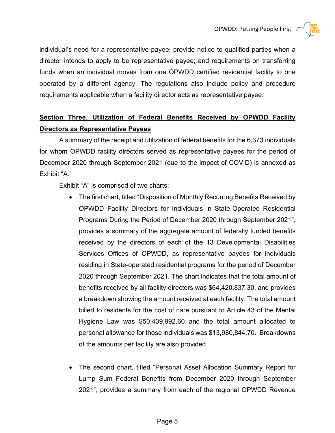

individual's need for a representative payee; provide notice to qualified parties when a director intends to apply to be representative payee; and requirements on transferring funds when an individual moves from one OPWDD certified residential facility to one operated by a different agency. The regulations also include policy and procedure requirements applicable when a facility director acts as representative payee.

# **Section Three. Utilization of Federal Benefits Received by OPWDD Facility Directors as Representative Payees**

A summary of the receipt and utilization of federal benefits for the 6,373 individuals for whom OPWDD facility directors served as representative payees for the period of December 2020 through September 2021 (due to the impact of COVID) is annexed as Exhibit "A."

Exhibit "A" is comprised of two charts:

- The first chart, titled "Disposition of Monthly Recurring Benefits Received by OPWDD Facility Directors for Individuals in State-Operated Residential Programs During the Period of December 2020 through September 2021", provides a summary of the aggregate amount of federally funded benefits received by the directors of each of the 13 Developmental Disabilities Services Offices of OPWDD, as representative payees for individuals residing in State-operated residential programs for the period of December 2020 through September 2021. The chart indicates that the total amount of benefits received by all facility directors was \$64,420,837.30, and provides a breakdown showing the amount received at each facility. The total amount billed to residents for the cost of care pursuant to Article 43 of the Mental Hygiene Law was \$50,439,992.60 and the total amount allocated to personal allowance for those individuals was \$13,980,844.70. Breakdowns of the amounts per facility are also provided.
- The second chart, titled "Personal Asset Allocation Summary Report for Lump Sum Federal Benefits from December 2020 through September 2021", provides a summary from each of the regional OPWDD Revenue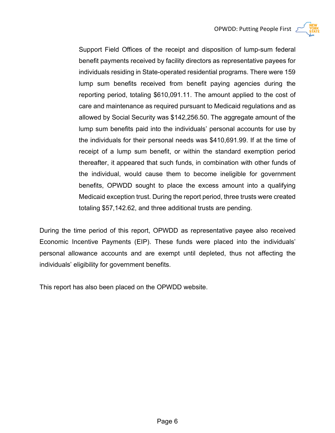

Support Field Offices of the receipt and disposition of lump-sum federal benefit payments received by facility directors as representative payees for individuals residing in State-operated residential programs. There were 159 lump sum benefits received from benefit paying agencies during the reporting period, totaling \$610,091.11. The amount applied to the cost of care and maintenance as required pursuant to Medicaid regulations and as allowed by Social Security was \$142,256.50. The aggregate amount of the lump sum benefits paid into the individuals' personal accounts for use by the individuals for their personal needs was \$410,691.99. If at the time of receipt of a lump sum benefit, or within the standard exemption period thereafter, it appeared that such funds, in combination with other funds of the individual, would cause them to become ineligible for government benefits, OPWDD sought to place the excess amount into a qualifying Medicaid exception trust. During the report period, three trusts were created totaling \$57,142.62, and three additional trusts are pending.

During the time period of this report, OPWDD as representative payee also received Economic Incentive Payments (EIP). These funds were placed into the individuals' personal allowance accounts and are exempt until depleted, thus not affecting the individuals' eligibility for government benefits.

This report has also been placed on the OPWDD website.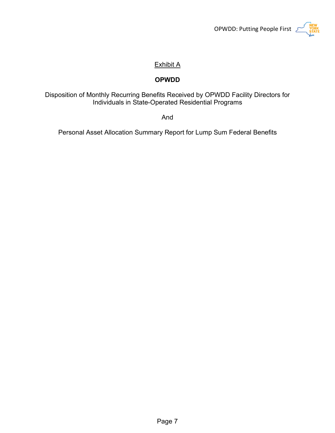

# Exhibit A

## **OPWDD**

## Disposition of Monthly Recurring Benefits Received by OPWDD Facility Directors for Individuals in State-Operated Residential Programs

And

Personal Asset Allocation Summary Report for Lump Sum Federal Benefits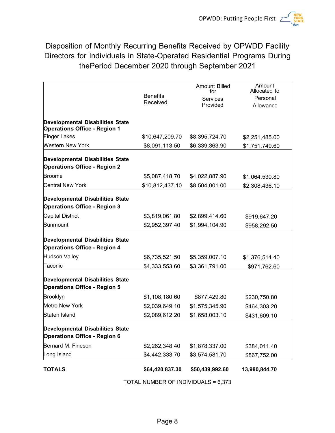Disposition of Monthly Recurring Benefits Received by OPWDD Facility Directors for Individuals in State-Operated Residential Programs During thePeriod December 2020 through September 2021

|                                                                                |                 | <b>Amount Billed</b><br>for | Amount<br>Allocated to |
|--------------------------------------------------------------------------------|-----------------|-----------------------------|------------------------|
|                                                                                | <b>Benefits</b> | Services                    | Personal               |
|                                                                                | Received        | Provided                    | Allowance              |
| <b>Developmental Disabilities State</b><br><b>Operations Office - Region 1</b> |                 |                             |                        |
| <b>Finger Lakes</b>                                                            | \$10,647,209.70 | \$8,395,724.70              | \$2,251,485.00         |
| Western New York                                                               | \$8,091,113.50  | \$6,339,363.90              | \$1,751,749.60         |
| <b>Developmental Disabilities State</b><br><b>Operations Office - Region 2</b> |                 |                             |                        |
| <b>Broome</b>                                                                  | \$5,087,418.70  | \$4,022,887.90              | \$1,064,530.80         |
| <b>Central New York</b>                                                        | \$10,812,437.10 | \$8,504,001.00              | \$2,308,436.10         |
| <b>Developmental Disabilities State</b><br><b>Operations Office - Region 3</b> |                 |                             |                        |
| <b>Capital District</b>                                                        | \$3,819,061.80  | \$2,899,414.60              | \$919,647.20           |
| Sunmount                                                                       | \$2,952,397.40  | \$1,994,104.90              | \$958,292.50           |
| <b>Developmental Disabilities State</b><br><b>Operations Office - Region 4</b> |                 |                             |                        |
| <b>Hudson Valley</b>                                                           | \$6,735,521.50  | \$5,359,007.10              | \$1,376,514.40         |
| Taconic                                                                        | \$4,333,553.60  | \$3,361,791.00              | \$971,762.60           |
| <b>Developmental Disabilities State</b><br><b>Operations Office - Region 5</b> |                 |                             |                        |
| <b>Brooklyn</b>                                                                | \$1,108,180.60  | \$877,429.80                | \$230,750.80           |
| <b>Metro New York</b>                                                          | \$2,039,649.10  | \$1,575,345.90              | \$464,303.20           |
| Staten Island                                                                  | \$2,089,612.20  | \$1,658,003.10              | \$431,609.10           |
| <b>Developmental Disabilities State</b><br><b>Operations Office - Region 6</b> |                 |                             |                        |
| Bernard M. Fineson                                                             | \$2,262,348.40  | \$1,878,337.00              | \$384,011.40           |
| Long Island                                                                    | \$4,442,333.70  | \$3,574,581.70              | \$867,752.00           |
| <b>TOTALS</b>                                                                  | \$64,420,837.30 | \$50,439,992.60             | 13,980,844.70          |

TOTAL NUMBER OF INDIVIDUALS = 6,373